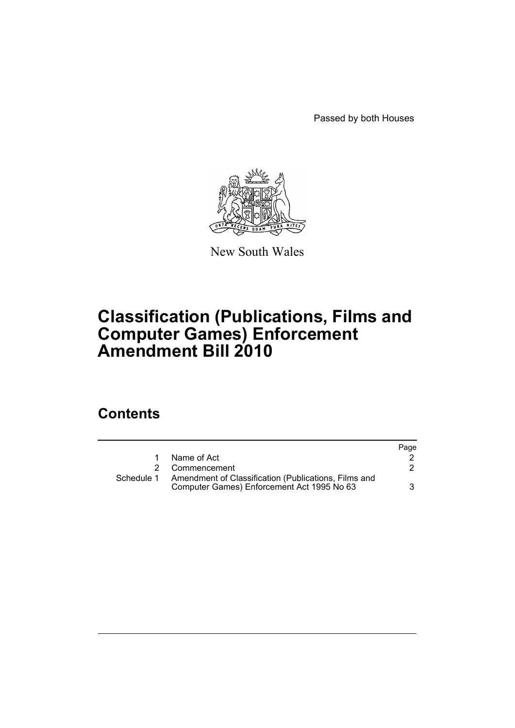Passed by both Houses



New South Wales

# **Classification (Publications, Films and Computer Games) Enforcement Amendment Bill 2010**

### **Contents**

|            |                                                                                                    | Page |
|------------|----------------------------------------------------------------------------------------------------|------|
| 1.         | Name of Act                                                                                        |      |
|            | 2 Commencement                                                                                     |      |
| Schedule 1 | Amendment of Classification (Publications, Films and<br>Computer Games) Enforcement Act 1995 No 63 | 3    |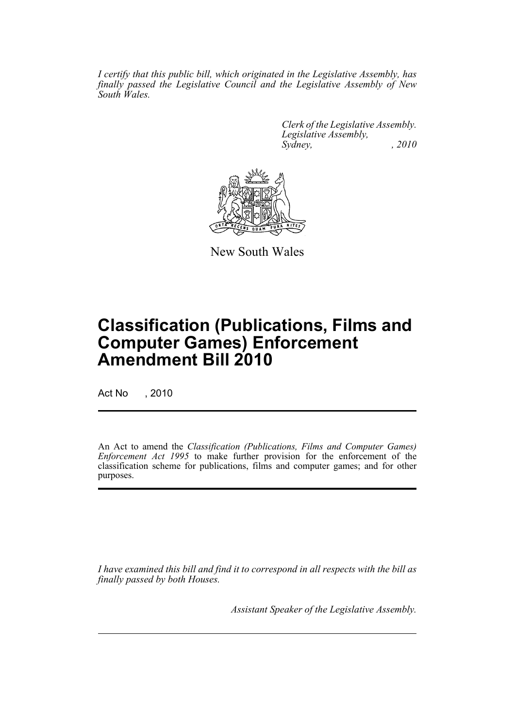*I certify that this public bill, which originated in the Legislative Assembly, has finally passed the Legislative Council and the Legislative Assembly of New South Wales.*

> *Clerk of the Legislative Assembly. Legislative Assembly, Sydney, , 2010*



New South Wales

## **Classification (Publications, Films and Computer Games) Enforcement Amendment Bill 2010**

Act No , 2010

An Act to amend the *Classification (Publications, Films and Computer Games) Enforcement Act 1995* to make further provision for the enforcement of the classification scheme for publications, films and computer games; and for other purposes.

*I have examined this bill and find it to correspond in all respects with the bill as finally passed by both Houses.*

*Assistant Speaker of the Legislative Assembly.*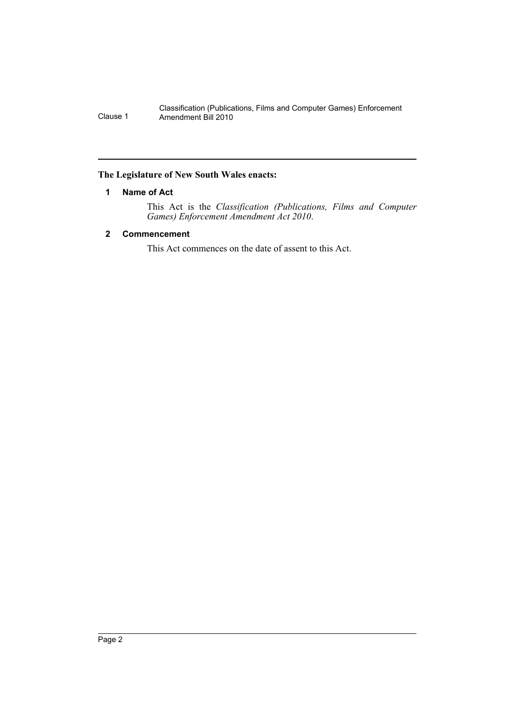#### <span id="page-2-0"></span>**The Legislature of New South Wales enacts:**

#### **1 Name of Act**

This Act is the *Classification (Publications, Films and Computer Games) Enforcement Amendment Act 2010*.

#### <span id="page-2-1"></span>**2 Commencement**

This Act commences on the date of assent to this Act.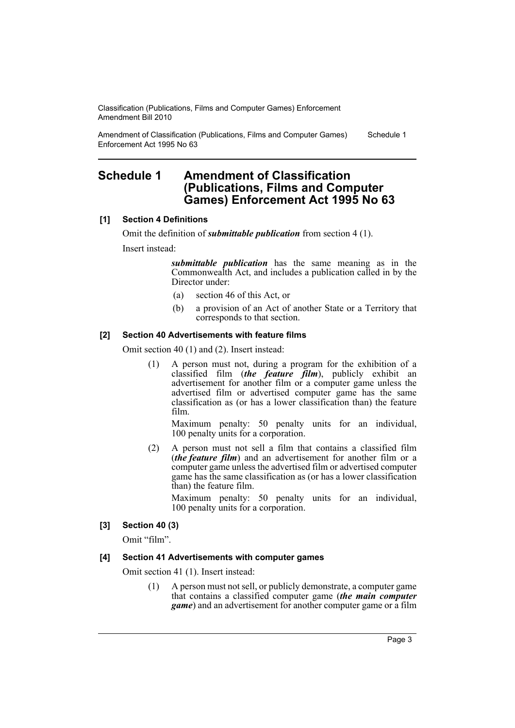Amendment of Classification (Publications, Films and Computer Games) Enforcement Act 1995 No 63 Schedule 1

### <span id="page-3-0"></span>**Schedule 1 Amendment of Classification (Publications, Films and Computer Games) Enforcement Act 1995 No 63**

#### **[1] Section 4 Definitions**

Omit the definition of *submittable publication* from section 4 (1).

Insert instead:

*submittable publication* has the same meaning as in the Commonwealth Act, and includes a publication called in by the Director under:

- (a) section 46 of this Act, or
- (b) a provision of an Act of another State or a Territory that corresponds to that section.

#### **[2] Section 40 Advertisements with feature films**

Omit section 40 (1) and (2). Insert instead:

(1) A person must not, during a program for the exhibition of a classified film (*the feature film*), publicly exhibit an advertisement for another film or a computer game unless the advertised film or advertised computer game has the same classification as (or has a lower classification than) the feature film.

Maximum penalty: 50 penalty units for an individual, 100 penalty units for a corporation.

(2) A person must not sell a film that contains a classified film (*the feature film*) and an advertisement for another film or a computer game unless the advertised film or advertised computer game has the same classification as (or has a lower classification than) the feature film.

Maximum penalty: 50 penalty units for an individual, 100 penalty units for a corporation.

#### **[3] Section 40 (3)**

Omit "film".

#### **[4] Section 41 Advertisements with computer games**

Omit section 41 (1). Insert instead:

(1) A person must not sell, or publicly demonstrate, a computer game that contains a classified computer game (*the main computer game*) and an advertisement for another computer game or a film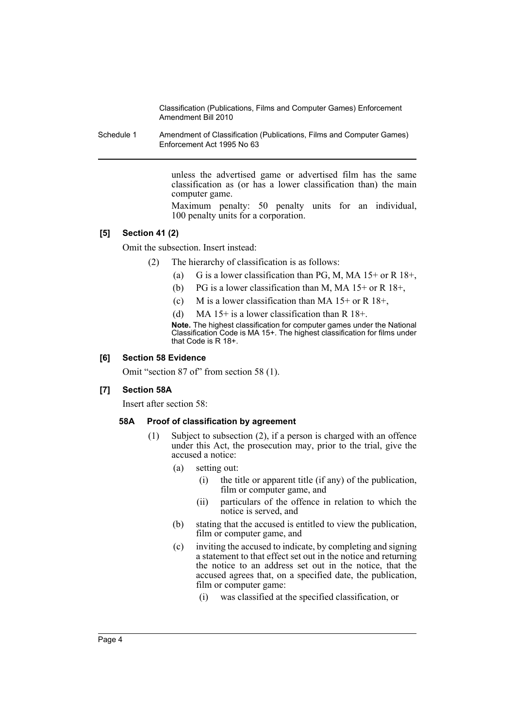Schedule 1 Amendment of Classification (Publications, Films and Computer Games) Enforcement Act 1995 No 63

> unless the advertised game or advertised film has the same classification as (or has a lower classification than) the main computer game.

> Maximum penalty: 50 penalty units for an individual, 100 penalty units for a corporation.

#### **[5] Section 41 (2)**

Omit the subsection. Insert instead:

- (2) The hierarchy of classification is as follows:
	- (a) G is a lower classification than PG, M, MA  $15+$  or R  $18+$ ,
	- (b) PG is a lower classification than M, MA  $15+$  or R  $18+$ ,
	- (c) M is a lower classification than MA  $15+$  or R  $18+$ ,
	- (d) MA 15+ is a lower classification than R  $18+$ .

**Note.** The highest classification for computer games under the National Classification Code is MA 15+. The highest classification for films under that Code is R 18+.

#### **[6] Section 58 Evidence**

Omit "section 87 of" from section 58 (1).

#### **[7] Section 58A**

Insert after section 58:

#### **58A Proof of classification by agreement**

- (1) Subject to subsection (2), if a person is charged with an offence under this Act, the prosecution may, prior to the trial, give the accused a notice:
	- (a) setting out:
		- (i) the title or apparent title (if any) of the publication, film or computer game, and
		- (ii) particulars of the offence in relation to which the notice is served, and
	- (b) stating that the accused is entitled to view the publication, film or computer game, and
	- (c) inviting the accused to indicate, by completing and signing a statement to that effect set out in the notice and returning the notice to an address set out in the notice, that the accused agrees that, on a specified date, the publication, film or computer game:
		- (i) was classified at the specified classification, or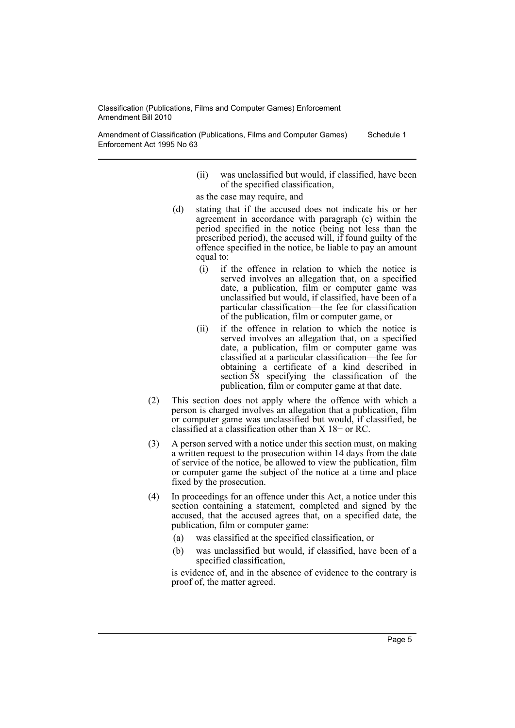Amendment of Classification (Publications, Films and Computer Games) Enforcement Act 1995 No 63 Schedule 1

- (ii) was unclassified but would, if classified, have been of the specified classification,
- as the case may require, and
- (d) stating that if the accused does not indicate his or her agreement in accordance with paragraph (c) within the period specified in the notice (being not less than the prescribed period), the accused will, if found guilty of the offence specified in the notice, be liable to pay an amount equal to:
	- (i) if the offence in relation to which the notice is served involves an allegation that, on a specified date, a publication, film or computer game was unclassified but would, if classified, have been of a particular classification—the fee for classification of the publication, film or computer game, or
	- (ii) if the offence in relation to which the notice is served involves an allegation that, on a specified date, a publication, film or computer game was classified at a particular classification—the fee for obtaining a certificate of a kind described in section 58 specifying the classification of the publication, film or computer game at that date.
- (2) This section does not apply where the offence with which a person is charged involves an allegation that a publication, film or computer game was unclassified but would, if classified, be classified at a classification other than X 18+ or RC.
- (3) A person served with a notice under this section must, on making a written request to the prosecution within 14 days from the date of service of the notice, be allowed to view the publication, film or computer game the subject of the notice at a time and place fixed by the prosecution.
- (4) In proceedings for an offence under this Act, a notice under this section containing a statement, completed and signed by the accused, that the accused agrees that, on a specified date, the publication, film or computer game:
	- (a) was classified at the specified classification, or
	- (b) was unclassified but would, if classified, have been of a specified classification,

is evidence of, and in the absence of evidence to the contrary is proof of, the matter agreed.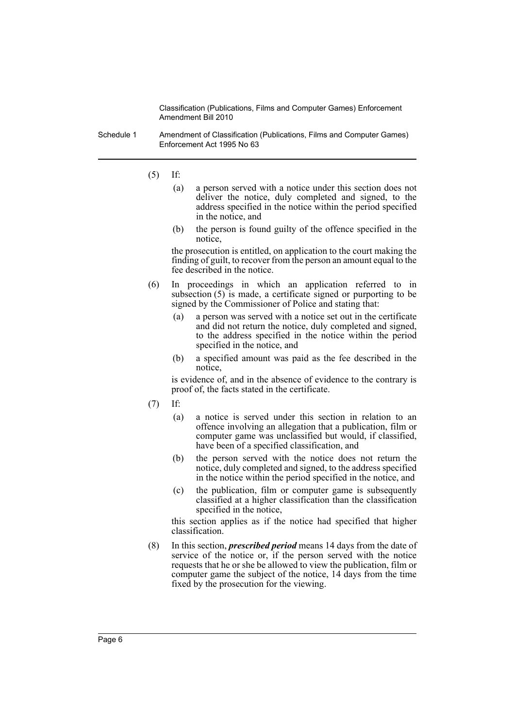- Schedule 1 Amendment of Classification (Publications, Films and Computer Games) Enforcement Act 1995 No 63
	- (5) If:
		- (a) a person served with a notice under this section does not deliver the notice, duly completed and signed, to the address specified in the notice within the period specified in the notice, and
		- (b) the person is found guilty of the offence specified in the notice,

the prosecution is entitled, on application to the court making the finding of guilt, to recover from the person an amount equal to the fee described in the notice.

- (6) In proceedings in which an application referred to in subsection (5) is made, a certificate signed or purporting to be signed by the Commissioner of Police and stating that:
	- (a) a person was served with a notice set out in the certificate and did not return the notice, duly completed and signed, to the address specified in the notice within the period specified in the notice, and
	- (b) a specified amount was paid as the fee described in the notice,

is evidence of, and in the absence of evidence to the contrary is proof of, the facts stated in the certificate.

- (7) If:
	- (a) a notice is served under this section in relation to an offence involving an allegation that a publication, film or computer game was unclassified but would, if classified, have been of a specified classification, and
	- (b) the person served with the notice does not return the notice, duly completed and signed, to the address specified in the notice within the period specified in the notice, and
	- (c) the publication, film or computer game is subsequently classified at a higher classification than the classification specified in the notice,

this section applies as if the notice had specified that higher classification.

(8) In this section, *prescribed period* means 14 days from the date of service of the notice or, if the person served with the notice requests that he or she be allowed to view the publication, film or computer game the subject of the notice, 14 days from the time fixed by the prosecution for the viewing.